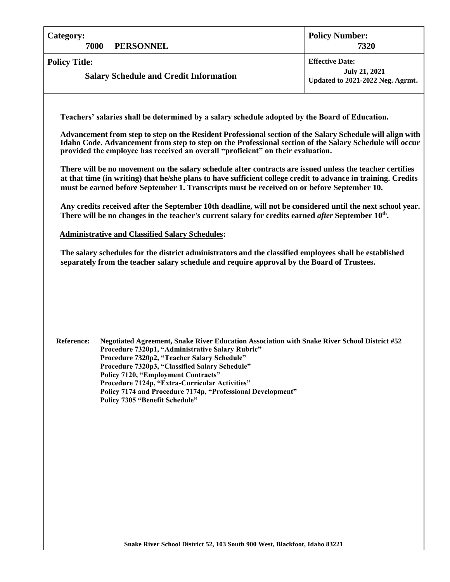| <b>Category:</b><br><b>PERSONNEL</b><br>7000                                                                                                                                                                                                                                                                                                                                                                                                                                                                                                                                                                                                                                                                                                                                                                                                                                                                                                                                                                                                                                                                                                                                                                                                  | <b>Policy Number:</b><br>7320                                                      |  |  |  |
|-----------------------------------------------------------------------------------------------------------------------------------------------------------------------------------------------------------------------------------------------------------------------------------------------------------------------------------------------------------------------------------------------------------------------------------------------------------------------------------------------------------------------------------------------------------------------------------------------------------------------------------------------------------------------------------------------------------------------------------------------------------------------------------------------------------------------------------------------------------------------------------------------------------------------------------------------------------------------------------------------------------------------------------------------------------------------------------------------------------------------------------------------------------------------------------------------------------------------------------------------|------------------------------------------------------------------------------------|--|--|--|
| <b>Policy Title:</b><br><b>Salary Schedule and Credit Information</b>                                                                                                                                                                                                                                                                                                                                                                                                                                                                                                                                                                                                                                                                                                                                                                                                                                                                                                                                                                                                                                                                                                                                                                         | <b>Effective Date:</b><br><b>July 21, 2021</b><br>Updated to 2021-2022 Neg. Agrmt. |  |  |  |
| Teachers' salaries shall be determined by a salary schedule adopted by the Board of Education.<br>Advancement from step to step on the Resident Professional section of the Salary Schedule will align with<br>Idaho Code. Advancement from step to step on the Professional section of the Salary Schedule will occur<br>provided the employee has received an overall "proficient" on their evaluation.<br>There will be no movement on the salary schedule after contracts are issued unless the teacher certifies<br>at that time (in writing) that he/she plans to have sufficient college credit to advance in training. Credits<br>must be earned before September 1. Transcripts must be received on or before September 10.<br>Any credits received after the September 10th deadline, will not be considered until the next school year.<br>There will be no changes in the teacher's current salary for credits earned <i>after</i> September 10 <sup>th</sup> .<br><b>Administrative and Classified Salary Schedules:</b><br>The salary schedules for the district administrators and the classified employees shall be established<br>separately from the teacher salary schedule and require approval by the Board of Trustees. |                                                                                    |  |  |  |
| Negotiated Agreement, Snake River Education Association with Snake River School District #52<br><b>Reference:</b><br>Procedure 7320p1, "Administrative Salary Rubric"<br>Procedure 7320p2, "Teacher Salary Schedule"<br>Procedure 7320p3, "Classified Salary Schedule"<br><b>Policy 7120, "Employment Contracts"</b><br>Procedure 7124p, "Extra-Curricular Activities"<br>Policy 7174 and Procedure 7174p, "Professional Development"<br>Policy 7305 "Benefit Schedule"                                                                                                                                                                                                                                                                                                                                                                                                                                                                                                                                                                                                                                                                                                                                                                       |                                                                                    |  |  |  |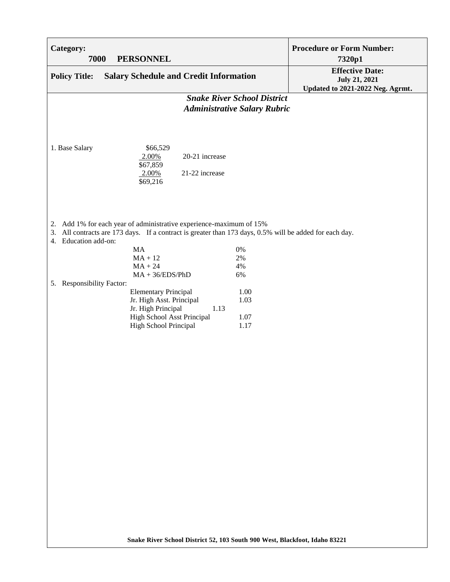| Category:<br>7000                                                                                                                                                                                         | <b>PERSONNEL</b>                                                                                                                                           | <b>Procedure or Form Number:</b> | 7320p1                                                                             |
|-----------------------------------------------------------------------------------------------------------------------------------------------------------------------------------------------------------|------------------------------------------------------------------------------------------------------------------------------------------------------------|----------------------------------|------------------------------------------------------------------------------------|
| <b>Policy Title:</b>                                                                                                                                                                                      | <b>Salary Schedule and Credit Information</b>                                                                                                              |                                  | <b>Effective Date:</b><br><b>July 21, 2021</b><br>Updated to 2021-2022 Neg. Agrmt. |
| <b>Snake River School District</b><br><b>Administrative Salary Rubric</b>                                                                                                                                 |                                                                                                                                                            |                                  |                                                                                    |
| 1. Base Salary                                                                                                                                                                                            | \$66,529<br>20-21 increase<br>2.00%<br>\$67,859<br>$2.00\%$<br>21-22 increase<br>\$69,216                                                                  |                                  |                                                                                    |
| 2. Add 1% for each year of administrative experience-maximum of 15%<br>All contracts are 173 days. If a contract is greater than 173 days, 0.5% will be added for each day.<br>3.<br>4. Education add-on: |                                                                                                                                                            |                                  |                                                                                    |
|                                                                                                                                                                                                           | MA<br>$MA + 12$                                                                                                                                            | 0%<br>2%                         |                                                                                    |
|                                                                                                                                                                                                           | $MA + 24$<br>$MA + 36/EDS/PhD$                                                                                                                             | 4%<br>6%                         |                                                                                    |
| 5. Responsibility Factor:                                                                                                                                                                                 |                                                                                                                                                            |                                  |                                                                                    |
|                                                                                                                                                                                                           | <b>Elementary Principal</b><br>Jr. High Asst. Principal<br>Jr. High Principal<br>1.13<br><b>High School Asst Principal</b><br><b>High School Principal</b> | 1.00<br>1.03<br>1.07<br>1.17     |                                                                                    |
|                                                                                                                                                                                                           |                                                                                                                                                            |                                  |                                                                                    |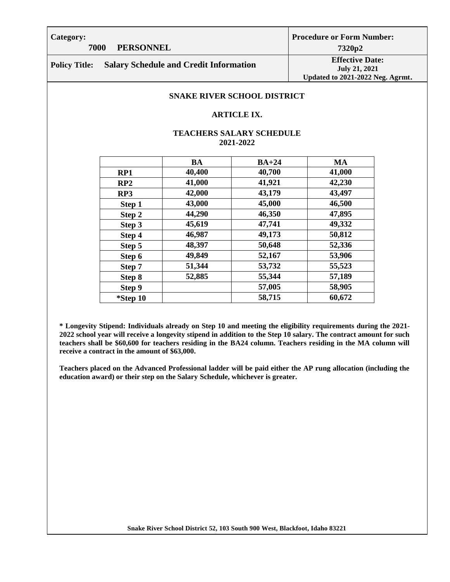**Category:**

# **7000 PERSONNEL**

**Procedure or Form Number: 7320p2**

**Policy Title: Salary Schedule and Credit Information Effective Date: Effective Date:** 

**July 21, 2021 Updated to 2021-2022 Neg. Agrmt.**

## **SNAKE RIVER SCHOOL DISTRICT**

#### **ARTICLE IX.**

# **TEACHERS SALARY SCHEDULE 2021-2022**

|          | <b>BA</b> | $BA+24$ | <b>MA</b> |
|----------|-----------|---------|-----------|
| RP1      | 40,400    | 40,700  | 41,000    |
| RP2      | 41,000    | 41,921  | 42,230    |
| RP3      | 42,000    | 43,179  | 43,497    |
| Step 1   | 43,000    | 45,000  | 46,500    |
| Step 2   | 44,290    | 46,350  | 47,895    |
| Step 3   | 45,619    | 47,741  | 49,332    |
| Step 4   | 46,987    | 49,173  | 50,812    |
| Step 5   | 48,397    | 50,648  | 52,336    |
| Step 6   | 49,849    | 52,167  | 53,906    |
| Step 7   | 51,344    | 53,732  | 55,523    |
| Step 8   | 52,885    | 55,344  | 57,189    |
| Step 9   |           | 57,005  | 58,905    |
| *Step 10 |           | 58,715  | 60,672    |

**\* Longevity Stipend: Individuals already on Step 10 and meeting the eligibility requirements during the 2021- 2022 school year will receive a longevity stipend in addition to the Step 10 salary. The contract amount for such teachers shall be \$60,600 for teachers residing in the BA24 column. Teachers residing in the MA column will receive a contract in the amount of \$63,000.**

**Teachers placed on the Advanced Professional ladder will be paid either the AP rung allocation (including the education award) or their step on the Salary Schedule, whichever is greater.**